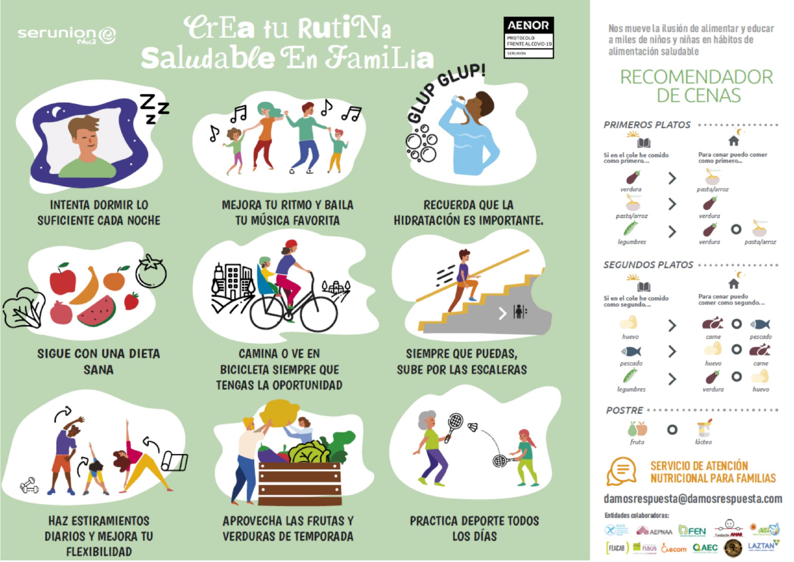## serunion@

# **CrEa tu RutiNa** OUNTED BY Saludable En FamiLia



Nos mueve la ilusión de alimentar y educar a miles de niños y niñas en hábitos de alimentación saludable

### **RECOMENDADOR** DE CENAS





**INTENTA DORMIR LO SUFICIENTE CADA NOCHE** 



**SIGUE CON UNA DIETA SANA** 



**HAZ ESTIRAMIENTOS DIARIOS Y MEJORA TU FLEXIBILIDAD** 

月 57 P

> **MEJORA TU RITMO Y BAILA TU MÚSICA FAVORITA**



**CAMINA O VE EN BICICLETA SIEMPRE QUE TENGAS LA OPORTUNIDAD** 



**APROVECHA LAS FRUTAS Y VERDURAS DE TEMPORADA** 

**RECUERDA QUE LA HIDRATACIÓN ES IMPORTANTE.** 

ెం



**SIEMPRE QUE PUEDAS. SUBE POR LAS ESCALERAS** 



**PRACTICA DEPORTE TODOS LOS DÍAS**